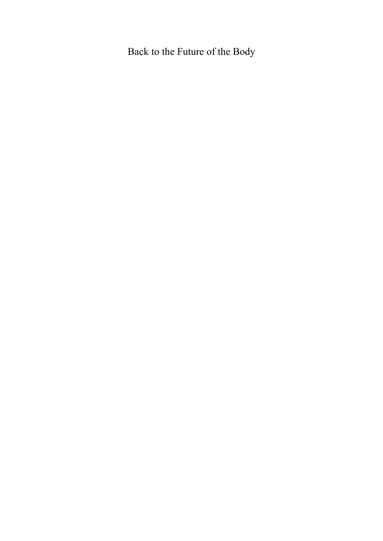# Back to the Future of the Body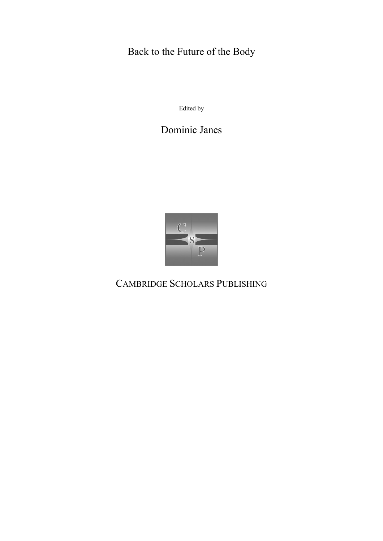# Back to the Future of the Body

Edited by

Dominic Janes



CAMBRIDGE SCHOLARS PUBLISHING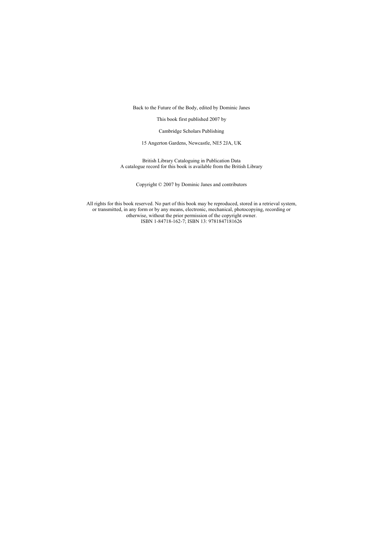Back to the Future of the Body, edited by Dominic Janes

This book first published 2007 by

Cambridge Scholars Publishing

15 Angerton Gardens, Newcastle, NE5 2JA, UK

British Library Cataloguing in Publication Data A catalogue record for this book is available from the British Library

Copyright © 2007 by Dominic Janes and contributors

All rights for this book reserved. No part of this book may be reproduced, stored in a retrieval system, or transmitted, in any form or by any means, electronic, mechanical, photocopying, recording or otherwise, without the prior permission of the copyright owner. ISBN 1-84718-162-7; ISBN 13: 9781847181626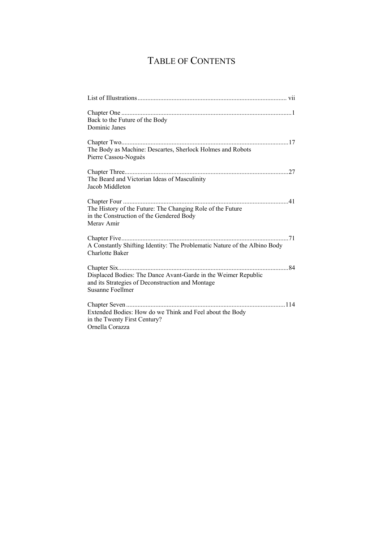# TABLE OF CONTENTS

| Back to the Future of the Body<br>Dominic Janes                                                                                        |  |
|----------------------------------------------------------------------------------------------------------------------------------------|--|
| The Body as Machine: Descartes, Sherlock Holmes and Robots<br>Pierre Cassou-Noguès                                                     |  |
| The Beard and Victorian Ideas of Masculinity<br>Jacob Middleton                                                                        |  |
| The History of the Future: The Changing Role of the Future<br>in the Construction of the Gendered Body<br>Meray Amir                   |  |
| A Constantly Shifting Identity: The Problematic Nature of the Albino Body<br><b>Charlotte Baker</b>                                    |  |
| Displaced Bodies: The Dance Avant-Garde in the Weimer Republic<br>and its Strategies of Deconstruction and Montage<br>Susanne Foellmer |  |
| Extended Bodies: How do we Think and Feel about the Body<br>in the Twenty First Century?<br>Ornella Corazza                            |  |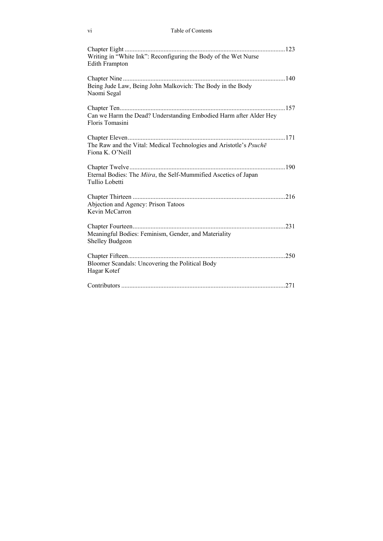| Vl | Table of Contents |
|----|-------------------|
|    |                   |

| Writing in "White Ink": Reconfiguring the Body of the Wet Nurse<br><b>Edith Frampton</b> |
|------------------------------------------------------------------------------------------|
| Being Jude Law, Being John Malkovich: The Body in the Body<br>Naomi Segal                |
| Can we Harm the Dead? Understanding Embodied Harm after Alder Hey<br>Floris Tomasini     |
| The Raw and the Vital: Medical Technologies and Aristotle's Psuche<br>Fiona K. O'Neill   |
| Eternal Bodies: The Miira, the Self-Mummified Ascetics of Japan<br>Tullio Lobetti        |
| Abjection and Agency: Prison Tatoos<br>Kevin McCarron                                    |
| Meaningful Bodies: Feminism, Gender, and Materiality<br><b>Shelley Budgeon</b>           |
| Bloomer Scandals: Uncovering the Political Body<br>Hagar Kotef                           |
|                                                                                          |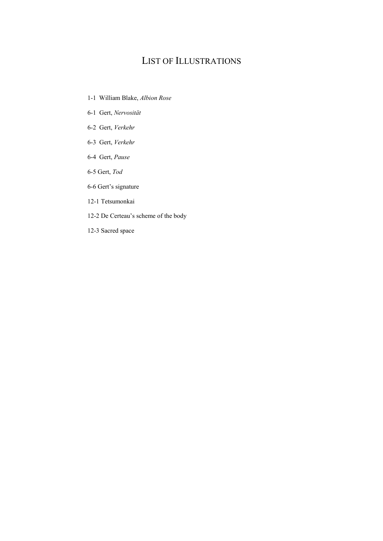## LIST OF ILLUSTRATIONS

- 1-1 William Blake, *Albion Rose*
- 6-1 Gert, *Nervosität*
- 6-2 Gert, *Verkehr*
- 6-3 Gert, *Verkehr*
- 6-4 Gert, *Pause*
- 6-5 Gert, *Tod*
- 6-6 Gert's signature

#### 12-1 Tetsumonkai

- 12-2 De Certeau's scheme of the body
- 12-3 Sacred space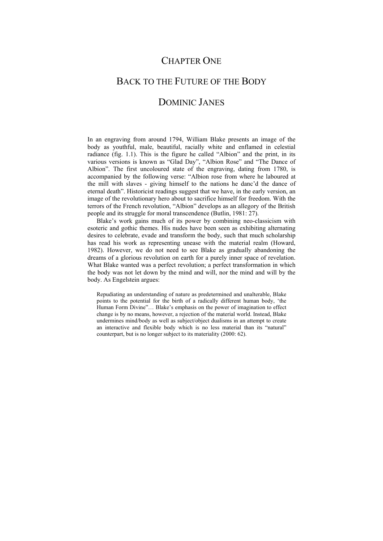## CHAPTER ONE

# BACK TO THE FUTURE OF THE BODY DOMINIC JANES

In an engraving from around 1794, William Blake presents an image of the body as youthful, male, beautiful, racially white and enflamed in celestial radiance (fig. 1.1). This is the figure he called "Albion" and the print, in its various versions is known as "Glad Day", "Albion Rose" and "The Dance of Albion". The first uncoloured state of the engraving, dating from 1780, is accompanied by the following verse: "Albion rose from where he laboured at the mill with slaves - giving himself to the nations he danc'd the dance of eternal death". Historicist readings suggest that we have, in the early version, an image of the revolutionary hero about to sacrifice himself for freedom. With the terrors of the French revolution, "Albion" develops as an allegory of the British people and its struggle for moral transcendence (Butlin, 1981: 27).

Blake's work gains much of its power by combining neo-classicism with esoteric and gothic themes. His nudes have been seen as exhibiting alternating desires to celebrate, evade and transform the body, such that much scholarship has read his work as representing unease with the material realm (Howard, 1982). However, we do not need to see Blake as gradually abandoning the dreams of a glorious revolution on earth for a purely inner space of revelation. What Blake wanted was a perfect revolution; a perfect transformation in which the body was not let down by the mind and will, nor the mind and will by the body. As Engelstein argues:

Repudiating an understanding of nature as predetermined and unalterable, Blake points to the potential for the birth of a radically different human body, 'the Human Form Divine"… Blake's emphasis on the power of imagination to effect change is by no means, however, a rejection of the material world. Instead, Blake undermines mind/body as well as subject/object dualisms in an attempt to create an interactive and flexible body which is no less material than its "natural" counterpart, but is no longer subject to its materiality (2000: 62).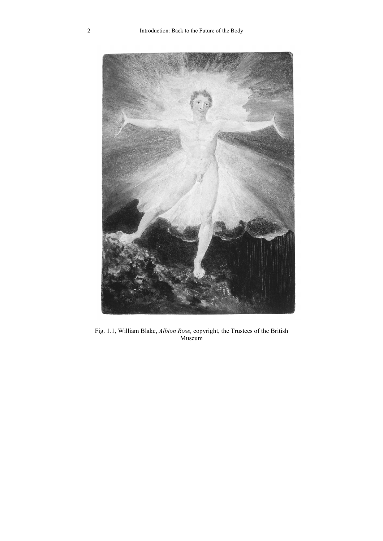

Fig. 1.1, William Blake, *Albion Rose,* copyright, the Trustees of the British Museum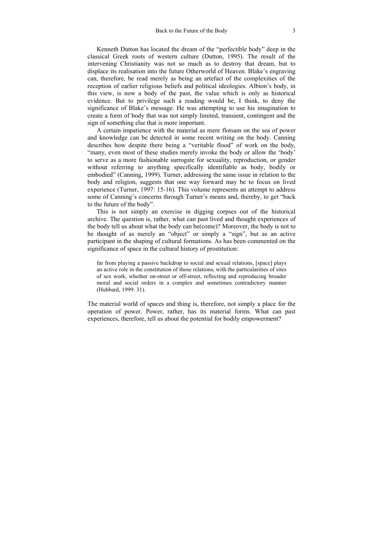Kenneth Dutton has located the dream of the "perfectible body" deep in the classical Greek roots of western culture (Dutton, 1995). The result of the intervening Christianity was not so much as to destroy that dream, but to displace its realisation into the future Otherworld of Heaven. Blake's engraving can, therefore, be read merely as being an artefact of the complexities of the reception of earlier religious beliefs and political ideologies. Albion's body, in this view, is now a body of the past, the value which is only as historical evidence. But to privilege such a reading would be, I think, to deny the significance of Blake's message. He was attempting to use his imagination to create a form of body that was not simply limited, transient, contingent and the sign of something else that is more important.

A certain impatience with the material as mere flotsam on the sea of power and knowledge can be detected in some recent writing on the body. Canning describes how despite there being a "veritable flood" of work on the body, "many, even most of these studies merely invoke the body or allow the 'body' to serve as a more fashionable surrogate for sexuality, reproduction, or gender without referring to anything specifically identifiable as body, bodily or embodied" (Canning, 1999). Turner, addressing the same issue in relation to the body and religion, suggests that one way forward may be to focus on lived experience (Turner, 1997: 15-16). This volume represents an attempt to address some of Canning's concerns through Turner's means and, thereby, to get "back to the future of the body".

This is not simply an exercise in digging corpses out of the historical archive. The question is, rather, what can past lived and thought experiences of the body tell us about what the body can be(come)? Moreover, the body is not to be thought of as merely an "object" or simply a "sign", but as an active participant in the shaping of cultural formations. As has been commented on the significance of space in the cultural history of prostitution:

far from playing a passive backdrop to social and sexual relations, [space] plays an active role in the constitution of those relations, with the particularities of sites of sex work, whether on-street or off-street, reflecting and reproducing broader moral and social orders in a complex and sometimes contradictory manner (Hubbard, 1999: 31).

The material world of spaces and thing is, therefore, not simply a place for the operation of power. Power, rather, has its material forms. What can past experiences, therefore, tell us about the potential for bodily empowerment?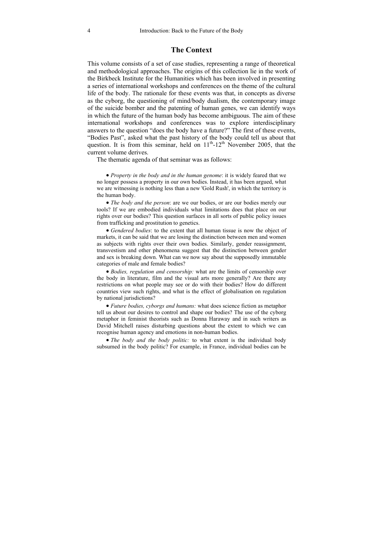#### **The Context**

This volume consists of a set of case studies, representing a range of theoretical and methodological approaches. The origins of this collection lie in the work of the Birkbeck Institute for the Humanities which has been involved in presenting a series of international workshops and conferences on the theme of the cultural life of the body. The rationale for these events was that, in concepts as diverse as the cyborg, the questioning of mind/body dualism, the contemporary image of the suicide bomber and the patenting of human genes, we can identify ways in which the future of the human body has become ambiguous. The aim of these international workshops and conferences was to explore interdisciplinary answers to the question "does the body have a future?" The first of these events, "Bodies Past", asked what the past history of the body could tell us about that question. It is from this seminar, held on  $11<sup>th</sup>$ -12<sup>th</sup> November 2005, that the current volume derives.

The thematic agenda of that seminar was as follows:

• *Property in the body and in the human genome*: it is widely feared that we no longer possess a property in our own bodies. Instead, it has been argued, what we are witnessing is nothing less than a new 'Gold Rush', in which the territory is the human body.

• *The body and the person*: are we our bodies, or are our bodies merely our tools? If we are embodied individuals what limitations does that place on our rights over our bodies? This question surfaces in all sorts of public policy issues from trafficking and prostitution to genetics.

• *Gendered bodies*: to the extent that all human tissue is now the object of markets, it can be said that we are losing the distinction between men and women as subjects with rights over their own bodies. Similarly, gender reassignment, transvestism and other phenomena suggest that the distinction between gender and sex is breaking down. What can we now say about the supposedly immutable categories of male and female bodies?

• *Bodies, regulation and censorship:* what are the limits of censorship over the body in literature, film and the visual arts more generally? Are there any restrictions on what people may see or do with their bodies? How do different countries view such rights, and what is the effect of globalisation on regulation by national jurisdictions?

• *Future bodies, cyborgs and humans:* what does science fiction as metaphor tell us about our desires to control and shape our bodies? The use of the cyborg metaphor in feminist theorists such as Donna Haraway and in such writers as David Mitchell raises disturbing questions about the extent to which we can recognise human agency and emotions in non-human bodies.

• *The body and the body politic:* to what extent is the individual body subsumed in the body politic? For example, in France, individual bodies can be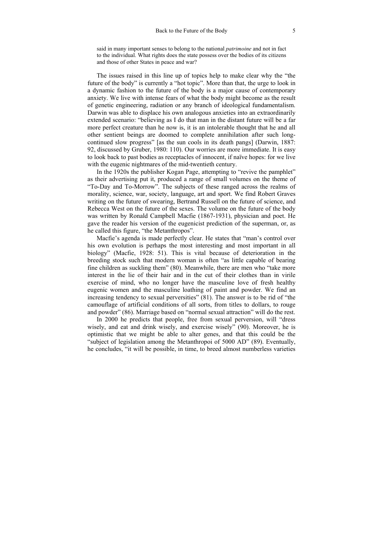said in many important senses to belong to the national *patrimoine* and not in fact to the individual. What rights does the state possess over the bodies of its citizens and those of other States in peace and war?

The issues raised in this line up of topics help to make clear why the "the future of the body" is currently a "hot topic". More than that, the urge to look in a dynamic fashion to the future of the body is a major cause of contemporary anxiety. We live with intense fears of what the body might become as the result of genetic engineering, radiation or any branch of ideological fundamentalism. Darwin was able to displace his own analogous anxieties into an extraordinarily extended scenario: "believing as I do that man in the distant future will be a far more perfect creature than he now is, it is an intolerable thought that he and all other sentient beings are doomed to complete annihilation after such longcontinued slow progress" [as the sun cools in its death pangs] (Darwin, 1887: 92, discussed by Gruber, 1980: 110). Our worries are more immediate. It is easy to look back to past bodies as receptacles of innocent, if naïve hopes: for we live with the eugenic nightmares of the mid-twentieth century.

In the 1920s the publisher Kogan Page, attempting to "revive the pamphlet" as their advertising put it, produced a range of small volumes on the theme of "To-Day and To-Morrow". The subjects of these ranged across the realms of morality, science, war, society, language, art and sport. We find Robert Graves writing on the future of swearing, Bertrand Russell on the future of science, and Rebecca West on the future of the sexes. The volume on the future of the body was written by Ronald Campbell Macfie (1867-1931), physician and poet. He gave the reader his version of the eugenicist prediction of the superman, or, as he called this figure, "the Metanthropos".

Macfie's agenda is made perfectly clear. He states that "man's control over his own evolution is perhaps the most interesting and most important in all biology" (Macfie, 1928: 51). This is vital because of deterioration in the breeding stock such that modern woman is often "as little capable of bearing fine children as suckling them" (80). Meanwhile, there are men who "take more interest in the lie of their hair and in the cut of their clothes than in virile exercise of mind, who no longer have the masculine love of fresh healthy eugenic women and the masculine loathing of paint and powder. We find an increasing tendency to sexual perversities" (81). The answer is to be rid of "the camouflage of artificial conditions of all sorts, from titles to dollars, to rouge and powder" (86). Marriage based on "normal sexual attraction" will do the rest.

In 2000 he predicts that people, free from sexual perversion, will "dress wisely, and eat and drink wisely, and exercise wisely" (90). Moreover, he is optimistic that we might be able to alter genes, and that this could be the "subject of legislation among the Metanthropoi of 5000 AD" (89). Eventually, he concludes, "it will be possible, in time, to breed almost numberless varieties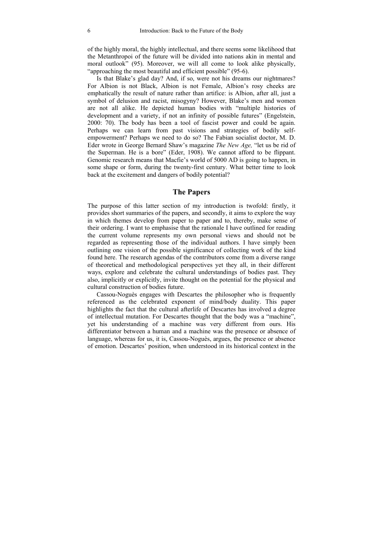of the highly moral, the highly intellectual, and there seems some likelihood that the Metanthropoi of the future will be divided into nations akin in mental and moral outlook" (95). Moreover, we will all come to look alike physically, "approaching the most beautiful and efficient possible" (95-6).

Is that Blake's glad day? And, if so, were not his dreams our nightmares? For Albion is not Black, Albion is not Female, Albion's rosy cheeks are emphatically the result of nature rather than artifice: is Albion, after all, just a symbol of delusion and racist, misogyny? However, Blake's men and women are not all alike. He depicted human bodies with "multiple histories of development and a variety, if not an infinity of possible futures" (Engelstein, 2000: 70). The body has been a tool of fascist power and could be again. Perhaps we can learn from past visions and strategies of bodily selfempowerment? Perhaps we need to do so? The Fabian socialist doctor, M. D. Eder wrote in George Bernard Shaw's magazine *The New Age,* "let us be rid of the Superman. He is a bore" (Eder, 1908). We cannot afford to be flippant. Genomic research means that Macfie's world of 5000 AD is going to happen, in some shape or form, during the twenty-first century. What better time to look back at the excitement and dangers of bodily potential?

#### **The Papers**

The purpose of this latter section of my introduction is twofold: firstly, it provides short summaries of the papers, and secondly, it aims to explore the way in which themes develop from paper to paper and to, thereby, make sense of their ordering. I want to emphasise that the rationale I have outlined for reading the current volume represents my own personal views and should not be regarded as representing those of the individual authors. I have simply been outlining one vision of the possible significance of collecting work of the kind found here. The research agendas of the contributors come from a diverse range of theoretical and methodological perspectives yet they all, in their different ways, explore and celebrate the cultural understandings of bodies past. They also, implicitly or explicitly, invite thought on the potential for the physical and cultural construction of bodies future.

Cassou-Noguès engages with Descartes the philosopher who is frequently referenced as the celebrated exponent of mind/body duality. This paper highlights the fact that the cultural afterlife of Descartes has involved a degree of intellectual mutation. For Descartes thought that the body was a "machine", yet his understanding of a machine was very different from ours. His differentiator between a human and a machine was the presence or absence of language, whereas for us, it is, Cassou-Noguès, argues, the presence or absence of emotion. Descartes' position, when understood in its historical context in the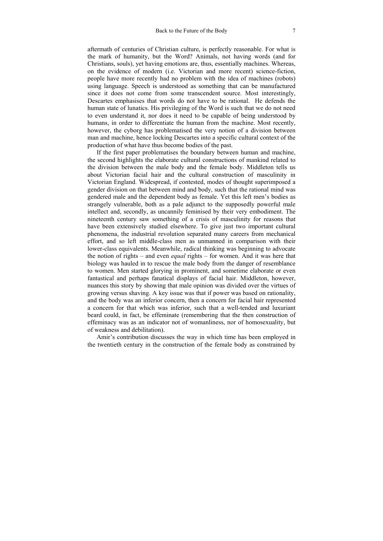aftermath of centuries of Christian culture, is perfectly reasonable. For what is the mark of humanity, but the Word? Animals, not having words (and for Christians, souls), yet having emotions are, thus, essentially machines. Whereas, on the evidence of modern (i.e. Victorian and more recent) science-fiction, people have more recently had no problem with the idea of machines (robots) using language. Speech is understood as something that can be manufactured since it does not come from some transcendent source. Most interestingly, Descartes emphasises that words do not have to be rational. He defends the human state of lunatics. His privileging of the Word is such that we do not need to even understand it, nor does it need to be capable of being understood by humans, in order to differentiate the human from the machine. Most recently, however, the cyborg has problematised the very notion of a division between man and machine, hence locking Descartes into a specific cultural context of the production of what have thus become bodies of the past.

If the first paper problematises the boundary between human and machine, the second highlights the elaborate cultural constructions of mankind related to the division between the male body and the female body. Middleton tells us about Victorian facial hair and the cultural construction of masculinity in Victorian England. Widespread, if contested, modes of thought superimposed a gender division on that between mind and body, such that the rational mind was gendered male and the dependent body as female. Yet this left men's bodies as strangely vulnerable, both as a pale adjunct to the supposedly powerful male intellect and, secondly, as uncannily feminised by their very embodiment. The nineteenth century saw something of a crisis of masculinity for reasons that have been extensively studied elsewhere. To give just two important cultural phenomena, the industrial revolution separated many careers from mechanical effort, and so left middle-class men as unmanned in comparison with their lower-class equivalents. Meanwhile, radical thinking was beginning to advocate the notion of rights – and even *equal* rights – for women. And it was here that biology was hauled in to rescue the male body from the danger of resemblance to women. Men started glorying in prominent, and sometime elaborate or even fantastical and perhaps fanatical displays of facial hair. Middleton, however, nuances this story by showing that male opinion was divided over the virtues of growing versus shaving. A key issue was that if power was based on rationality, and the body was an inferior concern, then a concern for facial hair represented a concern for that which was inferior, such that a well-tended and luxuriant beard could, in fact, be effeminate (remembering that the then construction of effeminacy was as an indicator not of womanliness, nor of homosexuality, but of weakness and debilitation).

Amir's contribution discusses the way in which time has been employed in the twentieth century in the construction of the female body as constrained by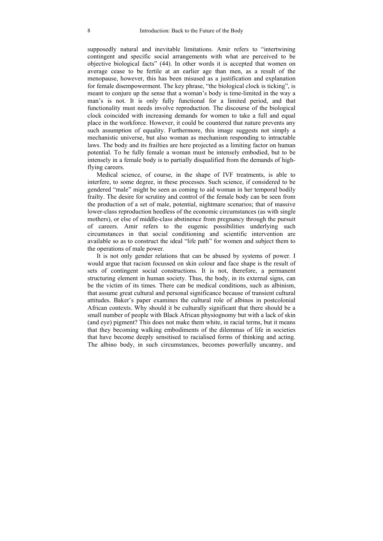supposedly natural and inevitable limitations. Amir refers to "intertwining contingent and specific social arrangements with what are perceived to be objective biological facts" (44). In other words it is accepted that women on average cease to be fertile at an earlier age than men, as a result of the menopause, however, this has been misused as a justification and explanation for female disempowerment. The key phrase, "the biological clock is ticking", is meant to conjure up the sense that a woman's body is time-limited in the way a man's is not. It is only fully functional for a limited period, and that functionality must needs involve reproduction. The discourse of the biological clock coincided with increasing demands for women to take a full and equal place in the workforce. However, it could be countered that nature prevents any such assumption of equality. Furthermore, this image suggests not simply a mechanistic universe, but also woman as mechanism responding to intractable laws. The body and its frailties are here projected as a limiting factor on human potential. To be fully female a woman must be intensely embodied, but to be intensely in a female body is to partially disqualified from the demands of highflying careers.

Medical science, of course, in the shape of IVF treatments, is able to interfere, to some degree, in these processes. Such science, if considered to be gendered "male" might be seen as coming to aid woman in her temporal bodily frailty. The desire for scrutiny and control of the female body can be seen from the production of a set of male, potential, nightmare scenarios; that of massive lower-class reproduction heedless of the economic circumstances (as with single mothers), or else of middle-class abstinence from pregnancy through the pursuit of careers. Amir refers to the eugenic possibilities underlying such circumstances in that social conditioning and scientific intervention are available so as to construct the ideal "life path" for women and subject them to the operations of male power.

It is not only gender relations that can be abused by systems of power. I would argue that racism focussed on skin colour and face shape is the result of sets of contingent social constructions. It is not, therefore, a permanent structuring element in human society. Thus, the body, in its external signs, can be the victim of its times. There can be medical conditions, such as albinism, that assume great cultural and personal significance because of transient cultural attitudes. Baker's paper examines the cultural role of albinos in postcolonial African contexts. Why should it be culturally significant that there should be a small number of people with Black African physiognomy but with a lack of skin (and eye) pigment? This does not make them white, in racial terms, but it means that they becoming walking embodiments of the dilemmas of life in societies that have become deeply sensitised to racialised forms of thinking and acting. The albino body, in such circumstances, becomes powerfully uncanny, and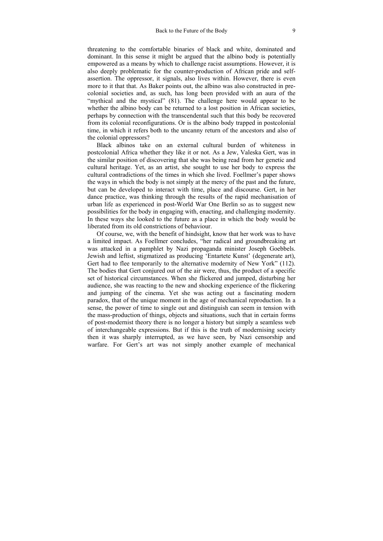threatening to the comfortable binaries of black and white, dominated and dominant. In this sense it might be argued that the albino body is potentially empowered as a means by which to challenge racist assumptions. However, it is also deeply problematic for the counter-production of African pride and selfassertion. The oppressor, it signals, also lives within. However, there is even more to it that that. As Baker points out, the albino was also constructed in precolonial societies and, as such, has long been provided with an aura of the "mythical and the mystical" (81). The challenge here would appear to be whether the albino body can be returned to a lost position in African societies, perhaps by connection with the transcendental such that this body be recovered from its colonial reconfigurations. Or is the albino body trapped in postcolonial time, in which it refers both to the uncanny return of the ancestors and also of the colonial oppressors?

Black albinos take on an external cultural burden of whiteness in postcolonial Africa whether they like it or not. As a Jew, Valeska Gert, was in the similar position of discovering that she was being read from her genetic and cultural heritage. Yet, as an artist, she sought to use her body to express the cultural contradictions of the times in which she lived. Foellmer's paper shows the ways in which the body is not simply at the mercy of the past and the future, but can be developed to interact with time, place and discourse. Gert, in her dance practice, was thinking through the results of the rapid mechanisation of urban life as experienced in post-World War One Berlin so as to suggest new possibilities for the body in engaging with, enacting, and challenging modernity. In these ways she looked to the future as a place in which the body would be liberated from its old constrictions of behaviour.

Of course, we, with the benefit of hindsight, know that her work was to have a limited impact. As Foellmer concludes, "her radical and groundbreaking art was attacked in a pamphlet by Nazi propaganda minister Joseph Goebbels. Jewish and leftist, stigmatized as producing 'Entartete Kunst' (degenerate art), Gert had to flee temporarily to the alternative modernity of New York" (112). The bodies that Gert conjured out of the air were, thus, the product of a specific set of historical circumstances. When she flickered and jumped, disturbing her audience, she was reacting to the new and shocking experience of the flickering and jumping of the cinema. Yet she was acting out a fascinating modern paradox, that of the unique moment in the age of mechanical reproduction. In a sense, the power of time to single out and distinguish can seem in tension with the mass-production of things, objects and situations, such that in certain forms of post-modernist theory there is no longer a history but simply a seamless web of interchangeable expressions. But if this is the truth of modernising society then it was sharply interrupted, as we have seen, by Nazi censorship and warfare. For Gert's art was not simply another example of mechanical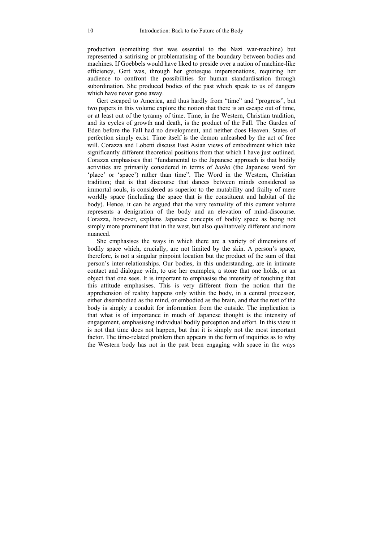production (something that was essential to the Nazi war-machine) but represented a satirising or problematising of the boundary between bodies and machines. If Goebbels would have liked to preside over a nation of machine-like efficiency, Gert was, through her grotesque impersonations, requiring her audience to confront the possibilities for human standardisation through subordination. She produced bodies of the past which speak to us of dangers which have never gone away.

Gert escaped to America, and thus hardly from "time" and "progress", but two papers in this volume explore the notion that there is an escape out of time, or at least out of the tyranny of time. Time, in the Western, Christian tradition, and its cycles of growth and death, is the product of the Fall. The Garden of Eden before the Fall had no development, and neither does Heaven. States of perfection simply exist. Time itself is the demon unleashed by the act of free will. Corazza and Lobetti discuss East Asian views of embodiment which take significantly different theoretical positions from that which I have just outlined. Corazza emphasises that "fundamental to the Japanese approach is that bodily activities are primarily considered in terms of *basho* (the Japanese word for 'place' or 'space') rather than time". The Word in the Western, Christian tradition; that is that discourse that dances between minds considered as immortal souls, is considered as superior to the mutability and frailty of mere worldly space (including the space that is the constituent and habitat of the body). Hence, it can be argued that the very textuality of this current volume represents a denigration of the body and an elevation of mind-discourse. Corazza, however, explains Japanese concepts of bodily space as being not simply more prominent that in the west, but also qualitatively different and more nuanced.

She emphasises the ways in which there are a variety of dimensions of bodily space which, crucially, are not limited by the skin. A person's space, therefore, is not a singular pinpoint location but the product of the sum of that person's inter-relationships. Our bodies, in this understanding, are in intimate contact and dialogue with, to use her examples, a stone that one holds, or an object that one sees. It is important to emphasise the intensity of touching that this attitude emphasises. This is very different from the notion that the apprehension of reality happens only within the body, in a central processor, either disembodied as the mind, or embodied as the brain, and that the rest of the body is simply a conduit for information from the outside. The implication is that what is of importance in much of Japanese thought is the intensity of engagement, emphasising individual bodily perception and effort. In this view it is not that time does not happen, but that it is simply not the most important factor. The time-related problem then appears in the form of inquiries as to why the Western body has not in the past been engaging with space in the ways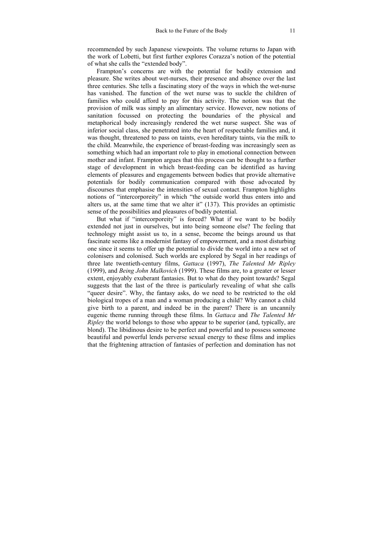recommended by such Japanese viewpoints. The volume returns to Japan with the work of Lobetti, but first further explores Corazza's notion of the potential of what she calls the "extended body".

Frampton's concerns are with the potential for bodily extension and pleasure. She writes about wet-nurses, their presence and absence over the last three centuries. She tells a fascinating story of the ways in which the wet-nurse has vanished. The function of the wet nurse was to suckle the children of families who could afford to pay for this activity. The notion was that the provision of milk was simply an alimentary service. However, new notions of sanitation focussed on protecting the boundaries of the physical and metaphorical body increasingly rendered the wet nurse suspect. She was of inferior social class, she penetrated into the heart of respectable families and, it was thought, threatened to pass on taints, even hereditary taints, via the milk to the child. Meanwhile, the experience of breast-feeding was increasingly seen as something which had an important role to play in emotional connection between mother and infant. Frampton argues that this process can be thought to a further stage of development in which breast-feeding can be identified as having elements of pleasures and engagements between bodies that provide alternative potentials for bodily communication compared with those advocated by discourses that emphasise the intensities of sexual contact. Frampton highlights notions of "intercorporeity" in which "the outside world thus enters into and alters us, at the same time that we alter it" (137). This provides an optimistic sense of the possibilities and pleasures of bodily potential.

But what if "intercorporeity" is forced? What if we want to be bodily extended not just in ourselves, but into being someone else? The feeling that technology might assist us to, in a sense, become the beings around us that fascinate seems like a modernist fantasy of empowerment, and a most disturbing one since it seems to offer up the potential to divide the world into a new set of colonisers and colonised. Such worlds are explored by Segal in her readings of three late twentieth-century films, *Gattaca* (1997), *The Talented Mr Ripley*  (1999), and *Being John Malkovich* (1999). These films are, to a greater or lesser extent, enjoyably exuberant fantasies. But to what do they point towards? Segal suggests that the last of the three is particularly revealing of what she calls "queer desire". Why, the fantasy asks, do we need to be restricted to the old biological tropes of a man and a woman producing a child? Why cannot a child give birth to a parent, and indeed be in the parent? There is an uncannily eugenic theme running through these films. In *Gattaca* and *The Talented Mr Ripley* the world belongs to those who appear to be superior (and, typically, are blond). The libidinous desire to be perfect and powerful and to possess someone beautiful and powerful lends perverse sexual energy to these films and implies that the frightening attraction of fantasies of perfection and domination has not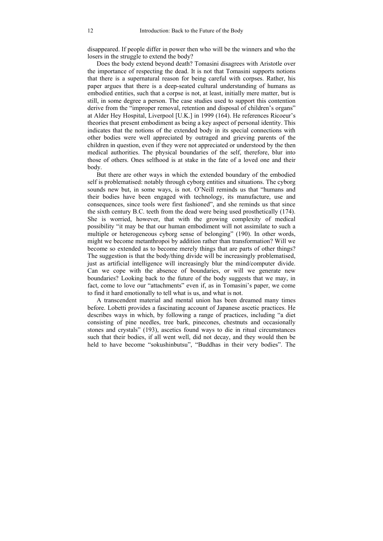disappeared. If people differ in power then who will be the winners and who the losers in the struggle to extend the body?

Does the body extend beyond death? Tomasini disagrees with Aristotle over the importance of respecting the dead. It is not that Tomasini supports notions that there is a supernatural reason for being careful with corpses. Rather, his paper argues that there is a deep-seated cultural understanding of humans as embodied entities, such that a corpse is not, at least, initially mere matter, but is still, in some degree a person. The case studies used to support this contention derive from the "improper removal, retention and disposal of children's organs" at Alder Hey Hospital, Liverpool [U.K.] in 1999 (164). He references Ricoeur's theories that present embodiment as being a key aspect of personal identity. This indicates that the notions of the extended body in its special connections with other bodies were well appreciated by outraged and grieving parents of the children in question, even if they were not appreciated or understood by the then medical authorities. The physical boundaries of the self, therefore, blur into those of others. Ones selfhood is at stake in the fate of a loved one and their body.

But there are other ways in which the extended boundary of the embodied self is problematised: notably through cyborg entities and situations. The cyborg sounds new but, in some ways, is not. O'Neill reminds us that "humans and their bodies have been engaged with technology, its manufacture, use and consequences, since tools were first fashioned", and she reminds us that since the sixth century B.C. teeth from the dead were being used prosthetically (174). She is worried, however, that with the growing complexity of medical possibility "it may be that our human embodiment will not assimilate to such a multiple or heterogeneous cyborg sense of belonging" (190). In other words, might we become metanthropoi by addition rather than transformation? Will we become so extended as to become merely things that are parts of other things? The suggestion is that the body/thing divide will be increasingly problematised, just as artificial intelligence will increasingly blur the mind/computer divide. Can we cope with the absence of boundaries, or will we generate new boundaries? Looking back to the future of the body suggests that we may, in fact, come to love our "attachments" even if, as in Tomasini's paper, we come to find it hard emotionally to tell what is us, and what is not.

A transcendent material and mental union has been dreamed many times before. Lobetti provides a fascinating account of Japanese ascetic practices. He describes ways in which, by following a range of practices, including "a diet consisting of pine needles, tree bark, pinecones, chestnuts and occasionally stones and crystals" (193), ascetics found ways to die in ritual circumstances such that their bodies, if all went well, did not decay, and they would then be held to have become "sokushinbutsu", "Buddhas in their very bodies". The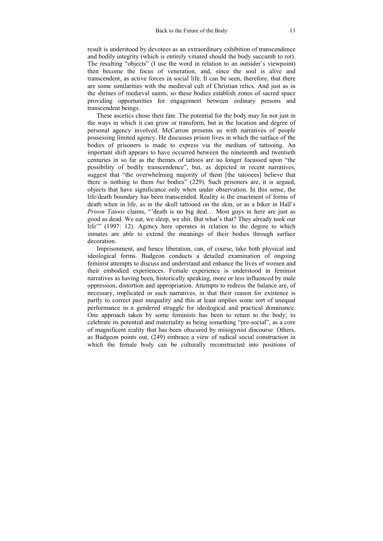result is understood by devotees as an extraordinary exhibition of transcendence and bodily integrity (which is entirely vitiated should the body succumb to rot). The resulting "objects" (I use the word in relation to an outsider's viewpoint) then become the focus of veneration, and, since the soul is alive and transcendent, as active forces in social life. It can be seen, therefore, that there are some similarities with the medieval cult of Christian relics. And just as in the shrines of medieval saints, so these bodies establish zones of sacred space providing opportunities for engagement between ordinary persons and transcendent beings.

These ascetics chose their fate. The potential for the body may lie not just in the ways in which it can grow or transform, but in the location and degree of personal agency involved. McCarron presents us with narratives of people possessing limited agency. He discusses prison lives in which the surface of the bodies of prisoners is made to express via the medium of tattooing. An important shift appears to have occurred between the nineteenth and twentieth centuries in so far as the themes of tattoos are no longer focussed upon "the possibility of bodily transcendence", but, as depicted in recent narratives, suggest that "the overwhelming majority of them [the tatooees] believe that there is nothing to them *but* bodies" (229). Such prisoners are, it is argued, objects that have significance only when under observation. In this sense, the life/death boundary has been transcended. Reality is the enactment of forms of death when in life, as in the skull tattooed on the skin, or as a biker in Hall's *Prison Tatoos* claims, "'death is no big deal… Most guys in here are just as good as dead. We eat, we sleep, we shit. But what's that? They already took our life" (1997: 12). Agency here operates in relation to the degree to which inmates are able to extend the meanings of their bodies through surface decoration.

Imprisonment, and hence liberation, can, of course, take both physical and ideological forms. Budgeon conducts a detailed examination of ongoing feminist attempts to discuss and understand and enhance the lives of women and their embodied experiences. Female experience is understood in feminist narratives as having been, historically speaking, more or less influenced by male oppression, distortion and appropriation. Attempts to redress the balance are, of necessary, implicated in such narratives, in that their reason for existence is partly to correct past inequality and this at least implies some sort of unequal performance in a gendered struggle for ideological and practical dominance. One approach taken by some feminists has been to return to the body; to celebrate its potential and materiality as being something "pre-social", as a core of magnificent reality that has been obscured by misogynist discourse. Others, as Budgeon points out, (249) embrace a view of radical social construction in which the female body can be culturally reconstructed into positions of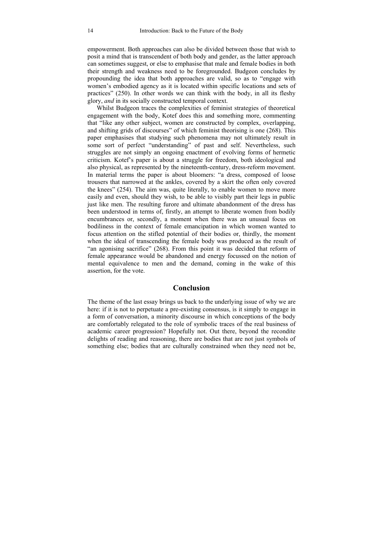empowerment. Both approaches can also be divided between those that wish to posit a mind that is transcendent of both body and gender, as the latter approach can sometimes suggest, or else to emphasise that male and female bodies in both their strength and weakness need to be foregrounded. Budgeon concludes by propounding the idea that both approaches are valid, so as to "engage with women's embodied agency as it is located within specific locations and sets of practices" (250). In other words we can think with the body, in all its fleshy glory, *and* in its socially constructed temporal context.

Whilst Budgeon traces the complexities of feminist strategies of theoretical engagement with the body, Kotef does this and something more, commenting that "like any other subject, women are constructed by complex, overlapping, and shifting grids of discourses" of which feminist theorising is one (268). This paper emphasises that studying such phenomena may not ultimately result in some sort of perfect "understanding" of past and self. Nevertheless, such struggles are not simply an ongoing enactment of evolving forms of hermetic criticism. Kotef's paper is about a struggle for freedom, both ideological and also physical, as represented by the nineteenth-century, dress-reform movement. In material terms the paper is about bloomers: "a dress, composed of loose trousers that narrowed at the ankles, covered by a skirt the often only covered the knees" (254). The aim was, quite literally, to enable women to move more easily and even, should they wish, to be able to visibly part their legs in public just like men. The resulting furore and ultimate abandonment of the dress has been understood in terms of, firstly, an attempt to liberate women from bodily encumbrances or, secondly, a moment when there was an unusual focus on bodiliness in the context of female emancipation in which women wanted to focus attention on the stifled potential of their bodies or, thirdly, the moment when the ideal of transcending the female body was produced as the result of "an agonising sacrifice" (268). From this point it was decided that reform of female appearance would be abandoned and energy focussed on the notion of mental equivalence to men and the demand, coming in the wake of this assertion, for the vote.

#### **Conclusion**

The theme of the last essay brings us back to the underlying issue of why we are here: if it is not to perpetuate a pre-existing consensus, is it simply to engage in a form of conversation, a minority discourse in which conceptions of the body are comfortably relegated to the role of symbolic traces of the real business of academic career progression? Hopefully not. Out there, beyond the recondite delights of reading and reasoning, there are bodies that are not just symbols of something else; bodies that are culturally constrained when they need not be,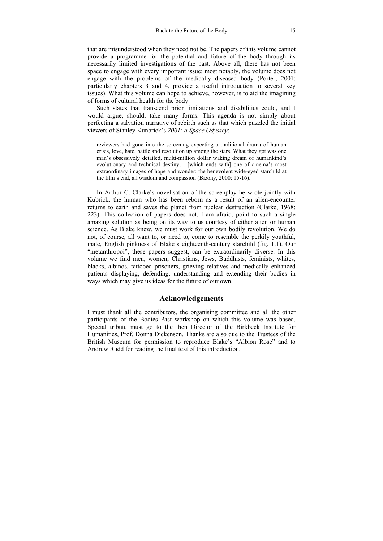that are misunderstood when they need not be. The papers of this volume cannot provide a programme for the potential and future of the body through its necessarily limited investigations of the past. Above all, there has not been space to engage with every important issue: most notably, the volume does not engage with the problems of the medically diseased body (Porter, 2001: particularly chapters 3 and 4, provide a useful introduction to several key issues). What this volume can hope to achieve, however, is to aid the imagining of forms of cultural health for the body.

Such states that transcend prior limitations and disabilities could, and I would argue, should, take many forms. This agenda is not simply about perfecting a salvation narrative of rebirth such as that which puzzled the initial viewers of Stanley Kunbrick's *2001: a Space Odyssey*:

reviewers had gone into the screening expecting a traditional drama of human crisis, love, hate, battle and resolution up among the stars. What they got was one man's obsessively detailed, multi-million dollar waking dream of humankind's evolutionary and technical destiny… [which ends with] one of cinema's most extraordinary images of hope and wonder: the benevolent wide-eyed starchild at the film's end, all wisdom and compassion (Bizony, 2000: 15-16).

In Arthur C. Clarke's novelisation of the screenplay he wrote jointly with Kubrick, the human who has been reborn as a result of an alien-encounter returns to earth and saves the planet from nuclear destruction (Clarke, 1968: 223). This collection of papers does not, I am afraid, point to such a single amazing solution as being on its way to us courtesy of either alien or human science. As Blake knew, we must work for our own bodily revolution. We do not, of course, all want to, or need to, come to resemble the perkily youthful, male, English pinkness of Blake's eighteenth-century starchild (fig. 1.1). Our "metanthropoi", these papers suggest, can be extraordinarily diverse. In this volume we find men, women, Christians, Jews, Buddhists, feminists, whites, blacks, albinos, tattooed prisoners, grieving relatives and medically enhanced patients displaying, defending, understanding and extending their bodies in ways which may give us ideas for the future of our own.

#### **Acknowledgements**

I must thank all the contributors, the organising committee and all the other participants of the Bodies Past workshop on which this volume was based. Special tribute must go to the then Director of the Birkbeck Institute for Humanities, Prof. Donna Dickenson. Thanks are also due to the Trustees of the British Museum for permission to reproduce Blake's "Albion Rose" and to Andrew Rudd for reading the final text of this introduction.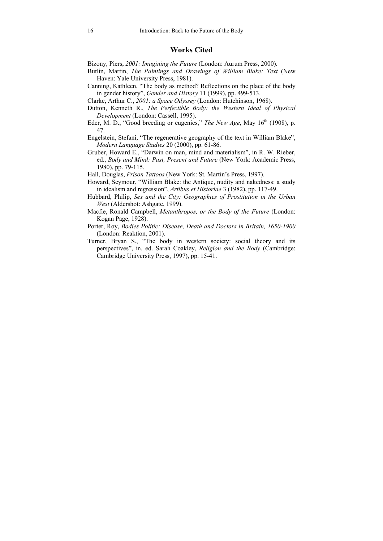#### **Works Cited**

Bizony, Piers, *2001: Imagining the Future* (London: Aurum Press, 2000).

- Butlin, Martin, *The Paintings and Drawings of William Blake: Text* (New Haven: Yale University Press, 1981).
- Canning, Kathleen, "The body as method? Reflections on the place of the body in gender history", *Gender and History* 11 (1999), pp. 499-513.
- Clarke, Arthur C., *2001: a Space Odyssey* (London: Hutchinson, 1968).
- Dutton, Kenneth R., *The Perfectible Body: the Western Ideal of Physical Development* (London: Cassell, 1995).
- Eder, M. D., "Good breeding or eugenics," *The New Age*, May  $16<sup>th</sup>$  (1908), p. 47.
- Engelstein, Stefani, "The regenerative geography of the text in William Blake", *Modern Language Studies* 20 (2000), pp. 61-86.
- Gruber, Howard E., "Darwin on man, mind and materialism", in R. W. Rieber, ed., *Body and Mind: Past, Present and Future* (New York: Academic Press, 1980), pp. 79-115.
- Hall, Douglas, *Prison Tattoos* (New York: St. Martin's Press, 1997).
- Howard, Seymour, "William Blake: the Antique, nudity and nakedness: a study in idealism and regression", *Artibus et Historiae* 3 (1982), pp. 117-49.
- Hubbard, Philip, *Sex and the City: Geographies of Prostitution in the Urban West* (Aldershot: Ashgate, 1999).
- Macfie, Ronald Campbell, *Metanthropos, or the Body of the Future* (London: Kogan Page, 1928).
- Porter, Roy, *Bodies Politic: Disease, Death and Doctors in Britain, 1650-1900* (London: Reaktion, 2001).
- Turner, Bryan S., "The body in western society: social theory and its perspectives", in. ed. Sarah Coakley, *Religion and the Body* (Cambridge: Cambridge University Press, 1997), pp. 15-41.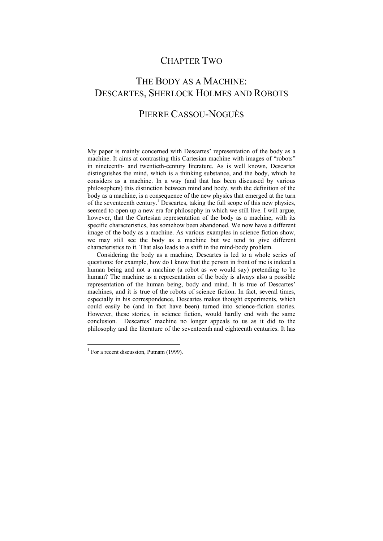### CHAPTER TWO

## THE BODY AS A MACHINE: DESCARTES, SHERLOCK HOLMES AND ROBOTS

### PIERRE CASSOU-NOGUÈS

My paper is mainly concerned with Descartes' representation of the body as a machine. It aims at contrasting this Cartesian machine with images of "robots" in nineteenth- and twentieth-century literature. As is well known, Descartes distinguishes the mind, which is a thinking substance, and the body, which he considers as a machine. In a way (and that has been discussed by various philosophers) this distinction between mind and body, with the definition of the body as a machine, is a consequence of the new physics that emerged at the turn of the seventeenth century.<sup>1</sup> Descartes, taking the full scope of this new physics, seemed to open up a new era for philosophy in which we still live. I will argue, however, that the Cartesian representation of the body as a machine, with its specific characteristics, has somehow been abandoned. We now have a different image of the body as a machine. As various examples in science fiction show, we may still see the body as a machine but we tend to give different characteristics to it. That also leads to a shift in the mind-body problem.

Considering the body as a machine, Descartes is led to a whole series of questions: for example, how do I know that the person in front of me is indeed a human being and not a machine (a robot as we would say) pretending to be human? The machine as a representation of the body is always also a possible representation of the human being, body and mind. It is true of Descartes' machines, and it is true of the robots of science fiction. In fact, several times, especially in his correspondence, Descartes makes thought experiments, which could easily be (and in fact have been) turned into science-fiction stories. However, these stories, in science fiction, would hardly end with the same conclusion. Descartes' machine no longer appeals to us as it did to the philosophy and the literature of the seventeenth and eighteenth centuries. It has

<sup>&</sup>lt;sup>1</sup> For a recent discussion, Putnam (1999).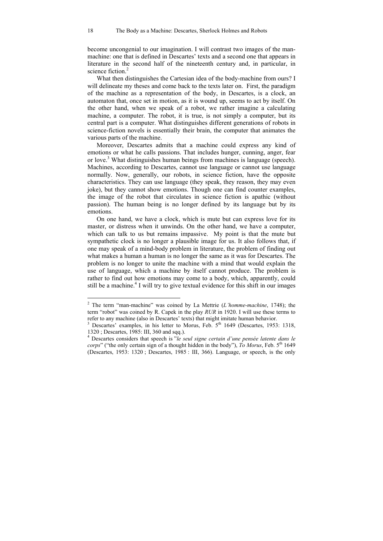become uncongenial to our imagination. I will contrast two images of the manmachine: one that is defined in Descartes' texts and a second one that appears in literature in the second half of the nineteenth century and, in particular, in science fiction<sup>2</sup>

What then distinguishes the Cartesian idea of the body-machine from ours? I will delineate my theses and come back to the texts later on. First, the paradigm of the machine as a representation of the body, in Descartes, is a clock, an automaton that, once set in motion, as it is wound up, seems to act by itself. On the other hand, when we speak of a robot, we rather imagine a calculating machine, a computer. The robot, it is true, is not simply a computer, but its central part is a computer. What distinguishes different generations of robots in science-fiction novels is essentially their brain, the computer that animates the various parts of the machine.

Moreover, Descartes admits that a machine could express any kind of emotions or what he calls passions. That includes hunger, cunning, anger, fear or love.<sup>3</sup> What distinguishes human beings from machines is language (speech). Machines, according to Descartes, cannot use language or cannot use language normally. Now, generally, our robots, in science fiction, have the opposite characteristics. They can use language (they speak, they reason, they may even joke), but they cannot show emotions. Though one can find counter examples, the image of the robot that circulates in science fiction is apathic (without passion). The human being is no longer defined by its language but by its emotions.

On one hand, we have a clock, which is mute but can express love for its master, or distress when it unwinds. On the other hand, we have a computer, which can talk to us but remains impassive. My point is that the mute but sympathetic clock is no longer a plausible image for us. It also follows that, if one may speak of a mind-body problem in literature, the problem of finding out what makes a human a human is no longer the same as it was for Descartes. The problem is no longer to unite the machine with a mind that would explain the use of language, which a machine by itself cannot produce. The problem is rather to find out how emotions may come to a body, which, apparently, could still be a machine.<sup>4</sup> I will try to give textual evidence for this shift in our images

<sup>2</sup> The term "man-machine" was coined by La Mettrie (*L'homme-machine*, 1748); the term "robot" was coined by R. Capek in the play *RUR* in 1920. I will use these terms to refer to any machine (also in Descartes' texts) that might imitate human behavior.

<sup>&</sup>lt;sup>3</sup> Descartes' examples, in his letter to Morus, Feb.  $5<sup>th</sup>$  1649 (Descartes, 1953: 1318, 1320 ; Descartes, 1985: III, 360 and sqq.).

<sup>4</sup> Descartes considers that speech is "*le seul signe certain d'une pensée latente dans le corps*" ("the only certain sign of a thought hidden in the body"),  $\overline{To}$  Morus, Feb. 5<sup>th</sup> 1649 (Descartes, 1953: 1320 ; Descartes, 1985 : III, 366). Language, or speech, is the only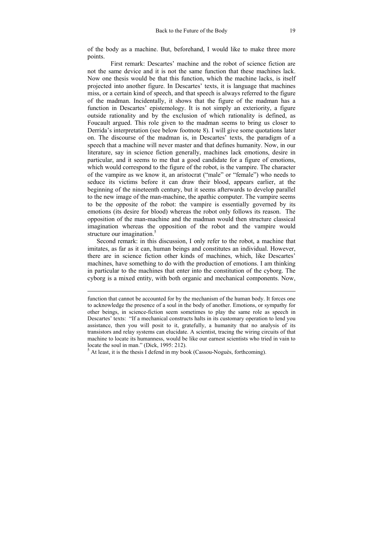of the body as a machine. But, beforehand, I would like to make three more points.

 First remark: Descartes' machine and the robot of science fiction are not the same device and it is not the same function that these machines lack. Now one thesis would be that this function, which the machine lacks, is itself projected into another figure. In Descartes' texts, it is language that machines miss, or a certain kind of speech, and that speech is always referred to the figure of the madman. Incidentally, it shows that the figure of the madman has a function in Descartes' epistemology. It is not simply an exteriority, a figure outside rationality and by the exclusion of which rationality is defined, as Foucault argued. This role given to the madman seems to bring us closer to Derrida's interpretation (see below footnote 8). I will give some quotations later on. The discourse of the madman is, in Descartes' texts, the paradigm of a speech that a machine will never master and that defines humanity. Now, in our literature, say in science fiction generally, machines lack emotions, desire in particular, and it seems to me that a good candidate for a figure of emotions, which would correspond to the figure of the robot, is the vampire. The character of the vampire as we know it, an aristocrat ("male" or "female") who needs to seduce its victims before it can draw their blood, appears earlier, at the beginning of the nineteenth century, but it seems afterwards to develop parallel to the new image of the man-machine, the apathic computer. The vampire seems to be the opposite of the robot: the vampire is essentially governed by its emotions (its desire for blood) whereas the robot only follows its reason. The opposition of the man-machine and the madman would then structure classical imagination whereas the opposition of the robot and the vampire would structure our imagination.<sup>5</sup>

Second remark: in this discussion, I only refer to the robot, a machine that imitates, as far as it can, human beings and constitutes an individual. However, there are in science fiction other kinds of machines, which, like Descartes' machines, have something to do with the production of emotions. I am thinking in particular to the machines that enter into the constitution of the cyborg. The cyborg is a mixed entity, with both organic and mechanical components. Now,

l

function that cannot be accounted for by the mechanism of the human body. It forces one to acknowledge the presence of a soul in the body of another. Emotions, or sympathy for other beings, in science-fiction seem sometimes to play the same role as speech in Descartes' texts: "If a mechanical constructs halts in its customary operation to lend you assistance, then you will posit to it, gratefully, a humanity that no analysis of its transistors and relay systems can elucidate. A scientist, tracing the wiring circuits of that machine to locate its humanness, would be like our earnest scientists who tried in vain to locate the soul in man." (Dick, 1995: 212).

 $<sup>5</sup>$  At least, it is the thesis I defend in my book (Cassou-Noguès, forthcoming).</sup>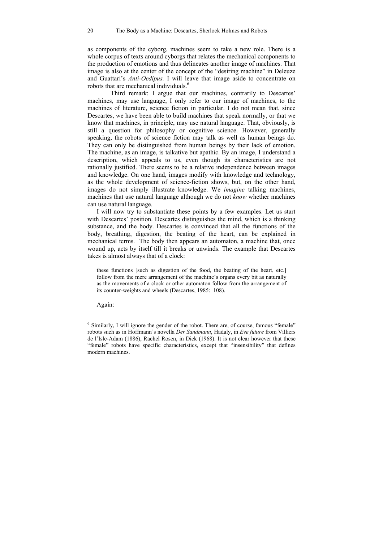as components of the cyborg, machines seem to take a new role. There is a whole corpus of texts around cyborgs that relates the mechanical components to the production of emotions and thus delineates another image of machines. That image is also at the center of the concept of the "desiring machine" in Deleuze and Guattari's *Anti-Oedipus.* I will leave that image aside to concentrate on robots that are mechanical individuals.<sup>6</sup>

 Third remark: I argue that our machines, contrarily to Descartes' machines, may use language, I only refer to our image of machines, to the machines of literature, science fiction in particular. I do not mean that, since Descartes, we have been able to build machines that speak normally, or that we know that machines, in principle, may use natural language. That, obviously, is still a question for philosophy or cognitive science. However, generally speaking, the robots of science fiction may talk as well as human beings do. They can only be distinguished from human beings by their lack of emotion. The machine, as an image, is talkative but apathic. By an image, I understand a description, which appeals to us, even though its characteristics are not rationally justified. There seems to be a relative independence between images and knowledge. On one hand, images modify with knowledge and technology, as the whole development of science-fiction shows, but, on the other hand, images do not simply illustrate knowledge. We *imagine* talking machines, machines that use natural language although we do not *know* whether machines can use natural language.

I will now try to substantiate these points by a few examples. Let us start with Descartes' position. Descartes distinguishes the mind, which is a thinking substance, and the body. Descartes is convinced that all the functions of the body, breathing, digestion, the beating of the heart, can be explained in mechanical terms. The body then appears an automaton, a machine that, once wound up, acts by itself till it breaks or unwinds. The example that Descartes takes is almost always that of a clock:

these functions [such as digestion of the food, the beating of the heart, etc.] follow from the mere arrangement of the machine's organs every bit as naturally as the movements of a clock or other automaton follow from the arrangement of its counter-weights and wheels (Descartes, 1985: 108).

Again:

<sup>&</sup>lt;sup>6</sup> Similarly, I will ignore the gender of the robot. There are, of course, famous "female" robots such as in Hoffmann's novella *Der Sandmann*, Hadaly, in *Eve future* from Villiers de l'Isle-Adam (1886), Rachel Rosen, in Dick (1968). It is not clear however that these "female" robots have specific characteristics, except that "insensibility" that defines modern machines.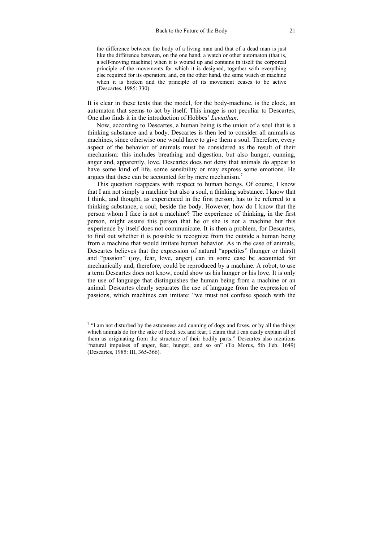the difference between the body of a living man and that of a dead man is just like the difference between, on the one hand, a watch or other automaton (that is, a self-moving machine) when it is wound up and contains in itself the corporeal principle of the movements for which it is designed, together with everything else required for its operation; and, on the other hand, the same watch or machine when it is broken and the principle of its movement ceases to be active (Descartes, 1985: 330).

It is clear in these texts that the model, for the body-machine, is the clock, an automaton that seems to act by itself. This image is not peculiar to Descartes, One also finds it in the introduction of Hobbes' *Leviathan*.

Now, according to Descartes, a human being is the union of a soul that is a thinking substance and a body. Descartes is then led to consider all animals as machines, since otherwise one would have to give them a soul. Therefore, every aspect of the behavior of animals must be considered as the result of their mechanism: this includes breathing and digestion, but also hunger, cunning, anger and, apparently, love. Descartes does not deny that animals do appear to have some kind of life, some sensibility or may express some emotions. He argues that these can be accounted for by mere mechanism.<sup>7</sup>

This question reappears with respect to human beings. Of course, I know that I am not simply a machine but also a soul, a thinking substance. I know that I think, and thought, as experienced in the first person, has to be referred to a thinking substance, a soul, beside the body. However, how do I know that the person whom I face is not a machine? The experience of thinking, in the first person, might assure this person that he or she is not a machine but this experience by itself does not communicate. It is then a problem, for Descartes, to find out whether it is possible to recognize from the outside a human being from a machine that would imitate human behavior. As in the case of animals, Descartes believes that the expression of natural "appetites" (hunger or thirst) and "passion" (joy, fear, love, anger) can in some case be accounted for mechanically and, therefore, could be reproduced by a machine. A robot, to use a term Descartes does not know, could show us his hunger or his love. It is only the use of language that distinguishes the human being from a machine or an animal. Descartes clearly separates the use of language from the expression of passions, which machines can imitate: "we must not confuse speech with the

 $7$  "I am not disturbed by the astuteness and cunning of dogs and foxes, or by all the things which animals do for the sake of food, sex and fear; I claim that I can easily explain all of them as originating from the structure of their bodily parts." Descartes also mentions "natural impulses of anger, fear, hunger, and so on" (To Morus, 5th Feb. 1649) (Descartes, 1985: III, 365-366).